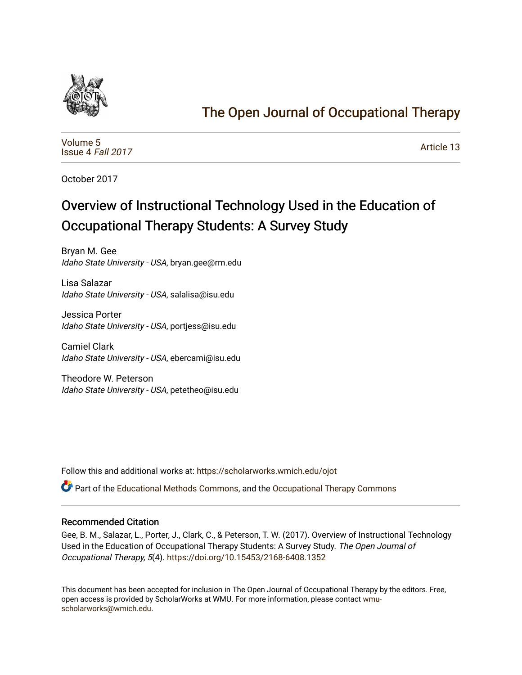

# [The Open Journal of Occupational Therapy](https://scholarworks.wmich.edu/ojot)

[Volume 5](https://scholarworks.wmich.edu/ojot/vol5) [Issue 4](https://scholarworks.wmich.edu/ojot/vol5/iss4) Fall 2017

[Article 13](https://scholarworks.wmich.edu/ojot/vol5/iss4/13) 

October 2017

# Overview of Instructional Technology Used in the Education of Occupational Therapy Students: A Survey Study

Bryan M. Gee Idaho State University - USA, bryan.gee@rm.edu

Lisa Salazar Idaho State University - USA, salalisa@isu.edu

Jessica Porter Idaho State University - USA, portjess@isu.edu

Camiel Clark Idaho State University - USA, ebercami@isu.edu

Theodore W. Peterson Idaho State University - USA, petetheo@isu.edu

Follow this and additional works at: [https://scholarworks.wmich.edu/ojot](https://scholarworks.wmich.edu/ojot?utm_source=scholarworks.wmich.edu%2Fojot%2Fvol5%2Fiss4%2F13&utm_medium=PDF&utm_campaign=PDFCoverPages)

Part of the [Educational Methods Commons,](http://network.bepress.com/hgg/discipline/1227?utm_source=scholarworks.wmich.edu%2Fojot%2Fvol5%2Fiss4%2F13&utm_medium=PDF&utm_campaign=PDFCoverPages) and the [Occupational Therapy Commons](http://network.bepress.com/hgg/discipline/752?utm_source=scholarworks.wmich.edu%2Fojot%2Fvol5%2Fiss4%2F13&utm_medium=PDF&utm_campaign=PDFCoverPages)

#### Recommended Citation

Gee, B. M., Salazar, L., Porter, J., Clark, C., & Peterson, T. W. (2017). Overview of Instructional Technology Used in the Education of Occupational Therapy Students: A Survey Study. The Open Journal of Occupational Therapy, 5(4). <https://doi.org/10.15453/2168-6408.1352>

This document has been accepted for inclusion in The Open Journal of Occupational Therapy by the editors. Free, open access is provided by ScholarWorks at WMU. For more information, please contact [wmu](mailto:wmu-scholarworks@wmich.edu)[scholarworks@wmich.edu.](mailto:wmu-scholarworks@wmich.edu)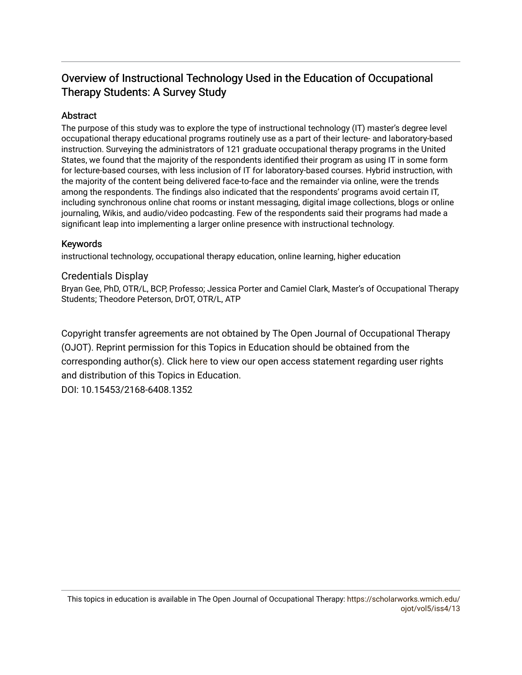# Overview of Instructional Technology Used in the Education of Occupational Therapy Students: A Survey Study

# Abstract

The purpose of this study was to explore the type of instructional technology (IT) master's degree level occupational therapy educational programs routinely use as a part of their lecture- and laboratory-based instruction. Surveying the administrators of 121 graduate occupational therapy programs in the United States, we found that the majority of the respondents identified their program as using IT in some form for lecture-based courses, with less inclusion of IT for laboratory-based courses. Hybrid instruction, with the majority of the content being delivered face-to-face and the remainder via online, were the trends among the respondents. The findings also indicated that the respondents' programs avoid certain IT, including synchronous online chat rooms or instant messaging, digital image collections, blogs or online journaling, Wikis, and audio/video podcasting. Few of the respondents said their programs had made a significant leap into implementing a larger online presence with instructional technology.

# Keywords

instructional technology, occupational therapy education, online learning, higher education

# Credentials Display

Bryan Gee, PhD, OTR/L, BCP, Professo; Jessica Porter and Camiel Clark, Master's of Occupational Therapy Students; Theodore Peterson, DrOT, OTR/L, ATP

Copyright transfer agreements are not obtained by The Open Journal of Occupational Therapy (OJOT). Reprint permission for this Topics in Education should be obtained from the corresponding author(s). Click [here](https://scholarworks.wmich.edu/ojot/policies.html#rights) to view our open access statement regarding user rights and distribution of this Topics in Education.

DOI: 10.15453/2168-6408.1352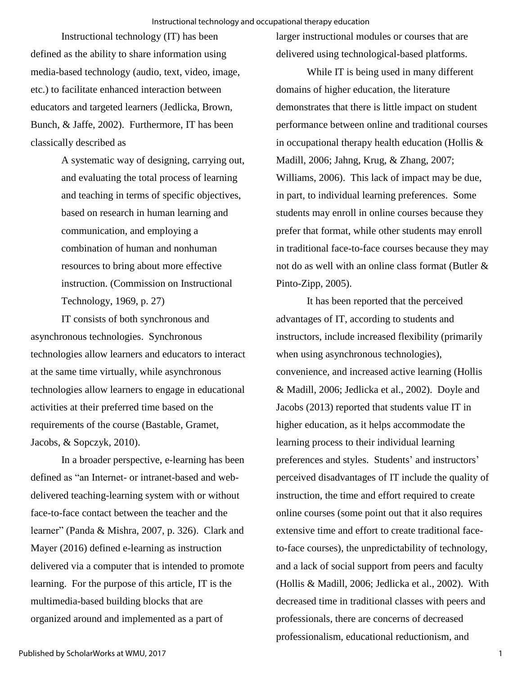Instructional technology (IT) has been defined as the ability to share information using media-based technology (audio, text, video, image, etc.) to facilitate enhanced interaction between educators and targeted learners (Jedlicka, Brown, Bunch, & Jaffe, 2002). Furthermore, IT has been classically described as

> A systematic way of designing, carrying out, and evaluating the total process of learning and teaching in terms of specific objectives, based on research in human learning and communication, and employing a combination of human and nonhuman resources to bring about more effective instruction. (Commission on Instructional Technology, 1969, p. 27)

IT consists of both synchronous and asynchronous technologies. Synchronous technologies allow learners and educators to interact at the same time virtually, while asynchronous technologies allow learners to engage in educational activities at their preferred time based on the requirements of the course (Bastable, Gramet, Jacobs, & Sopczyk, 2010).

In a broader perspective, e-learning has been defined as "an Internet- or intranet-based and webdelivered teaching-learning system with or without face-to-face contact between the teacher and the learner" (Panda & Mishra, 2007, p. 326). Clark and Mayer (2016) defined e-learning as instruction delivered via a computer that is intended to promote learning. For the purpose of this article, IT is the multimedia-based building blocks that are organized around and implemented as a part of

larger instructional modules or courses that are delivered using technological-based platforms.

While IT is being used in many different domains of higher education, the literature demonstrates that there is little impact on student performance between online and traditional courses in occupational therapy health education (Hollis  $\&$ Madill, 2006; Jahng, Krug, & Zhang, 2007; Williams, 2006). This lack of impact may be due, in part, to individual learning preferences. Some students may enroll in online courses because they prefer that format, while other students may enroll in traditional face-to-face courses because they may not do as well with an online class format (Butler & Pinto-Zipp, 2005).

It has been reported that the perceived advantages of IT, according to students and instructors, include increased flexibility (primarily when using asynchronous technologies), convenience, and increased active learning (Hollis & Madill, 2006; Jedlicka et al., 2002). Doyle and Jacobs (2013) reported that students value IT in higher education, as it helps accommodate the learning process to their individual learning preferences and styles. Students' and instructors' perceived disadvantages of IT include the quality of instruction, the time and effort required to create online courses (some point out that it also requires extensive time and effort to create traditional faceto-face courses), the unpredictability of technology, and a lack of social support from peers and faculty (Hollis & Madill, 2006; Jedlicka et al., 2002). With decreased time in traditional classes with peers and professionals, there are concerns of decreased professionalism, educational reductionism, and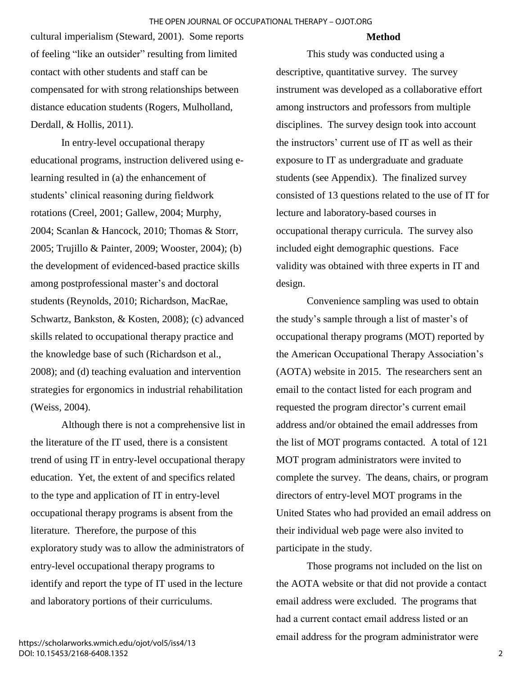#### **Method**

cultural imperialism (Steward, 2001). Some reports of feeling "like an outsider" resulting from limited contact with other students and staff can be compensated for with strong relationships between distance education students (Rogers, Mulholland, Derdall, & Hollis, 2011).

In entry-level occupational therapy educational programs, instruction delivered using elearning resulted in (a) the enhancement of students' clinical reasoning during fieldwork rotations (Creel, 2001; Gallew, 2004; Murphy, 2004; Scanlan & Hancock, 2010; Thomas & Storr, 2005; Trujillo & Painter, 2009; Wooster, 2004); (b) the development of evidenced-based practice skills among postprofessional master's and doctoral students (Reynolds, 2010; Richardson, MacRae, Schwartz, Bankston, & Kosten, 2008); (c) advanced skills related to occupational therapy practice and the knowledge base of such (Richardson et al., 2008); and (d) teaching evaluation and intervention strategies for ergonomics in industrial rehabilitation (Weiss, 2004).

Although there is not a comprehensive list in the literature of the IT used, there is a consistent trend of using IT in entry-level occupational therapy education. Yet, the extent of and specifics related to the type and application of IT in entry-level occupational therapy programs is absent from the literature. Therefore, the purpose of this exploratory study was to allow the administrators of entry-level occupational therapy programs to identify and report the type of IT used in the lecture and laboratory portions of their curriculums.

This study was conducted using a descriptive, quantitative survey. The survey instrument was developed as a collaborative effort among instructors and professors from multiple disciplines. The survey design took into account the instructors' current use of IT as well as their exposure to IT as undergraduate and graduate students (see Appendix). The finalized survey consisted of 13 questions related to the use of IT for lecture and laboratory-based courses in occupational therapy curricula. The survey also included eight demographic questions. Face validity was obtained with three experts in IT and design.

Convenience sampling was used to obtain the study's sample through a list of master's of occupational therapy programs (MOT) reported by the American Occupational Therapy Association's (AOTA) website in 2015. The researchers sent an email to the contact listed for each program and requested the program director's current email address and/or obtained the email addresses from the list of MOT programs contacted. A total of 121 MOT program administrators were invited to complete the survey. The deans, chairs, or program directors of entry-level MOT programs in the United States who had provided an email address on their individual web page were also invited to participate in the study.

Those programs not included on the list on the AOTA website or that did not provide a contact email address were excluded. The programs that had a current contact email address listed or an email address for the program administrator were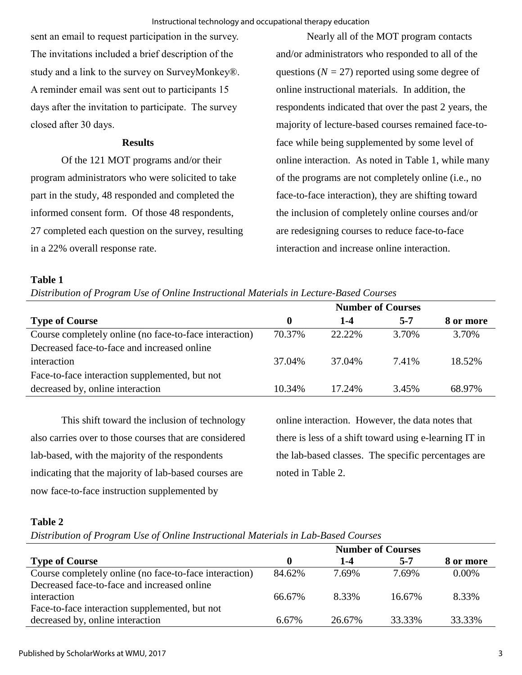sent an email to request participation in the survey. The invitations included a brief description of the study and a link to the survey on SurveyMonkey®. A reminder email was sent out to participants 15 days after the invitation to participate. The survey closed after 30 days.

# **Results**

Of the 121 MOT programs and/or their program administrators who were solicited to take part in the study, 48 responded and completed the informed consent form. Of those 48 respondents, 27 completed each question on the survey, resulting in a 22% overall response rate.

Nearly all of the MOT program contacts and/or administrators who responded to all of the questions  $(N = 27)$  reported using some degree of online instructional materials. In addition, the respondents indicated that over the past 2 years, the majority of lecture-based courses remained face-toface while being supplemented by some level of online interaction. As noted in Table 1, while many of the programs are not completely online (i.e., no face-to-face interaction), they are shifting toward the inclusion of completely online courses and/or are redesigning courses to reduce face-to-face interaction and increase online interaction.

# **Table 1**

*Distribution of Program Use of Online Instructional Materials in Lecture-Based Courses* 

|                                                        | <b>Number of Courses</b> |         |         |           |
|--------------------------------------------------------|--------------------------|---------|---------|-----------|
| <b>Type of Course</b>                                  | $\mathbf 0$              | $1 - 4$ | $5 - 7$ | 8 or more |
| Course completely online (no face-to-face interaction) | 70.37%                   | 22.22%  | 3.70%   | 3.70%     |
| Decreased face-to-face and increased online            |                          |         |         |           |
| interaction                                            | 37.04%                   | 37.04%  | 7.41%   | 18.52%    |
| Face-to-face interaction supplemented, but not         |                          |         |         |           |
| decreased by, online interaction                       | 10.34%                   | 17.24%  | 3.45%   | 68.97%    |

This shift toward the inclusion of technology also carries over to those courses that are considered lab-based, with the majority of the respondents indicating that the majority of lab-based courses are now face-to-face instruction supplemented by

online interaction. However, the data notes that there is less of a shift toward using e-learning IT in the lab-based classes. The specific percentages are noted in Table 2.

# **Table 2**

*Distribution of Program Use of Online Instructional Materials in Lab-Based Courses*

| <b>Number of Courses</b> |         |           |
|--------------------------|---------|-----------|
| $1 - 4$                  | $5 - 7$ | 8 or more |
| 7.69%                    | 7.69%   | $0.00\%$  |
|                          |         |           |
| 8.33%                    | 16.67%  | 8.33%     |
|                          |         |           |
| 26.67%                   | 33.33%  | 33.33%    |
|                          |         |           |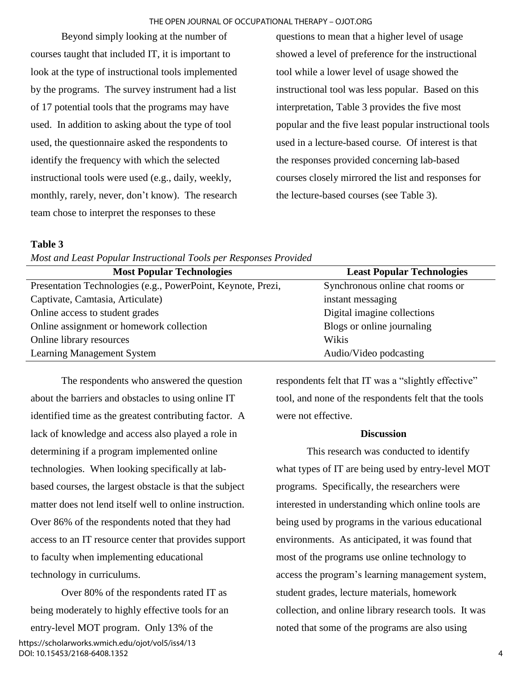#### THE OPEN JOURNAL OF OCCUPATIONAL THERAPY – OJOT.ORG

Beyond simply looking at the number of courses taught that included IT, it is important to look at the type of instructional tools implemented by the programs. The survey instrument had a list of 17 potential tools that the programs may have used. In addition to asking about the type of tool used, the questionnaire asked the respondents to identify the frequency with which the selected instructional tools were used (e.g., daily, weekly, monthly, rarely, never, don't know). The research team chose to interpret the responses to these

questions to mean that a higher level of usage showed a level of preference for the instructional tool while a lower level of usage showed the instructional tool was less popular. Based on this interpretation, Table 3 provides the five most popular and the five least popular instructional tools used in a lecture-based course. Of interest is that the responses provided concerning lab-based courses closely mirrored the list and responses for the lecture-based courses (see Table 3).

### **Table 3**

*Most and Least Popular Instructional Tools per Responses Provided*

| <b>Most Popular Technologies</b>                             | <b>Least Popular Technologies</b> |
|--------------------------------------------------------------|-----------------------------------|
| Presentation Technologies (e.g., PowerPoint, Keynote, Prezi, | Synchronous online chat rooms or  |
| Captivate, Camtasia, Articulate)                             | instant messaging                 |
| Online access to student grades                              | Digital imagine collections       |
| Online assignment or homework collection                     | Blogs or online journaling        |
| Online library resources                                     | Wikis                             |
| Learning Management System                                   | Audio/Video podcasting            |

The respondents who answered the question about the barriers and obstacles to using online IT identified time as the greatest contributing factor. A lack of knowledge and access also played a role in determining if a program implemented online technologies. When looking specifically at labbased courses, the largest obstacle is that the subject matter does not lend itself well to online instruction. Over 86% of the respondents noted that they had access to an IT resource center that provides support to faculty when implementing educational technology in curriculums.

Over 80% of the respondents rated IT as being moderately to highly effective tools for an entry-level MOT program. Only 13% of the

https://scholarworks.wmich.edu/ojot/vol5/iss4/13 DOI: 10.15453/2168-6408.1352

respondents felt that IT was a "slightly effective" tool, and none of the respondents felt that the tools were not effective.

#### **Discussion**

This research was conducted to identify what types of IT are being used by entry-level MOT programs. Specifically, the researchers were interested in understanding which online tools are being used by programs in the various educational environments. As anticipated, it was found that most of the programs use online technology to access the program's learning management system, student grades, lecture materials, homework collection, and online library research tools. It was noted that some of the programs are also using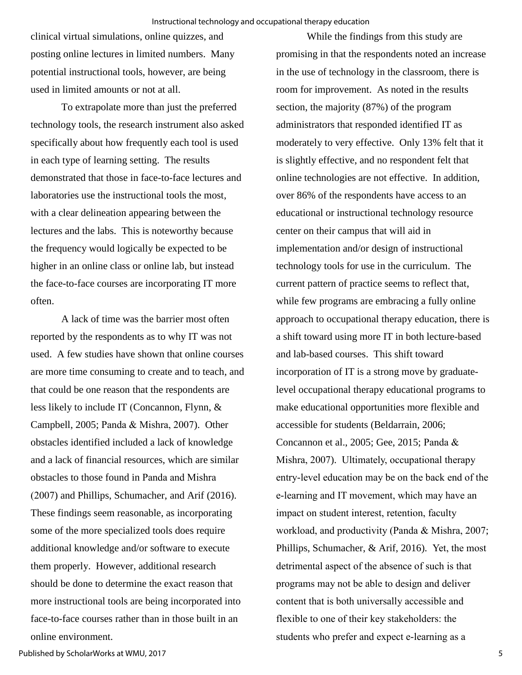clinical virtual simulations, online quizzes, and posting online lectures in limited numbers. Many potential instructional tools, however, are being used in limited amounts or not at all.

To extrapolate more than just the preferred technology tools, the research instrument also asked specifically about how frequently each tool is used in each type of learning setting. The results demonstrated that those in face-to-face lectures and laboratories use the instructional tools the most, with a clear delineation appearing between the lectures and the labs. This is noteworthy because the frequency would logically be expected to be higher in an online class or online lab, but instead the face-to-face courses are incorporating IT more often.

A lack of time was the barrier most often reported by the respondents as to why IT was not used. A few studies have shown that online courses are more time consuming to create and to teach, and that could be one reason that the respondents are less likely to include IT (Concannon, Flynn, & Campbell, 2005; Panda & Mishra, 2007). Other obstacles identified included a lack of knowledge and a lack of financial resources, which are similar obstacles to those found in Panda and Mishra (2007) and Phillips, Schumacher, and Arif (2016). These findings seem reasonable, as incorporating some of the more specialized tools does require additional knowledge and/or software to execute them properly. However, additional research should be done to determine the exact reason that more instructional tools are being incorporated into face-to-face courses rather than in those built in an online environment.

While the findings from this study are promising in that the respondents noted an increase in the use of technology in the classroom, there is room for improvement. As noted in the results section, the majority (87%) of the program administrators that responded identified IT as moderately to very effective. Only 13% felt that it is slightly effective, and no respondent felt that online technologies are not effective. In addition, over 86% of the respondents have access to an educational or instructional technology resource center on their campus that will aid in implementation and/or design of instructional technology tools for use in the curriculum. The current pattern of practice seems to reflect that, while few programs are embracing a fully online approach to occupational therapy education, there is a shift toward using more IT in both lecture-based and lab-based courses. This shift toward incorporation of IT is a strong move by graduatelevel occupational therapy educational programs to make educational opportunities more flexible and accessible for students (Beldarrain, 2006; Concannon et al., 2005; Gee, 2015; Panda & Mishra, 2007). Ultimately, occupational therapy entry-level education may be on the back end of the e-learning and IT movement, which may have an impact on student interest, retention, faculty workload, and productivity (Panda & Mishra, 2007; Phillips, Schumacher, & Arif, 2016). Yet, the most detrimental aspect of the absence of such is that programs may not be able to design and deliver content that is both universally accessible and flexible to one of their key stakeholders: the students who prefer and expect e-learning as a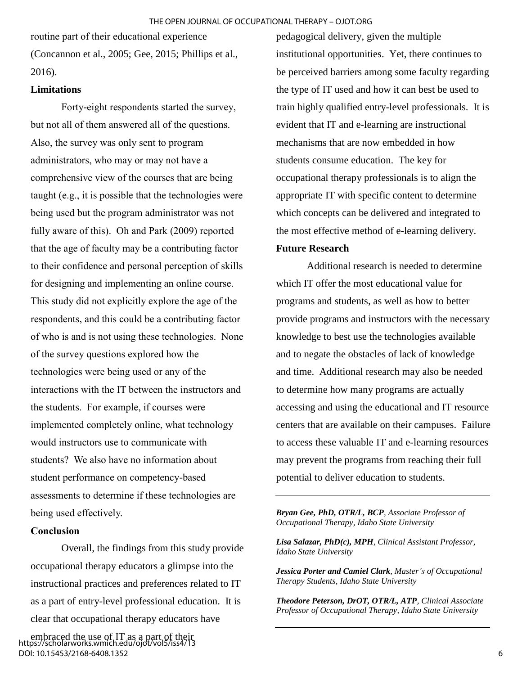routine part of their educational experience (Concannon et al., 2005; Gee, 2015; Phillips et al., 2016).

# **Limitations**

Forty-eight respondents started the survey, but not all of them answered all of the questions. Also, the survey was only sent to program administrators, who may or may not have a comprehensive view of the courses that are being taught (e.g., it is possible that the technologies were being used but the program administrator was not fully aware of this). Oh and Park (2009) reported that the age of faculty may be a contributing factor to their confidence and personal perception of skills for designing and implementing an online course. This study did not explicitly explore the age of the respondents, and this could be a contributing factor of who is and is not using these technologies. None of the survey questions explored how the technologies were being used or any of the interactions with the IT between the instructors and the students. For example, if courses were implemented completely online, what technology would instructors use to communicate with students? We also have no information about student performance on competency-based assessments to determine if these technologies are being used effectively.

#### **Conclusion**

Overall, the findings from this study provide occupational therapy educators a glimpse into the instructional practices and preferences related to IT as a part of entry-level professional education. It is clear that occupational therapy educators have

embraced the use of IT as a part of their https://scholarworks.wmich.edu/ojot/vol5/iss4/13 DOI: 10.15453/2168-6408.1352

pedagogical delivery, given the multiple institutional opportunities. Yet, there continues to be perceived barriers among some faculty regarding the type of IT used and how it can best be used to train highly qualified entry-level professionals. It is evident that IT and e-learning are instructional mechanisms that are now embedded in how students consume education. The key for occupational therapy professionals is to align the appropriate IT with specific content to determine which concepts can be delivered and integrated to the most effective method of e-learning delivery.

#### **Future Research**

Additional research is needed to determine which IT offer the most educational value for programs and students, as well as how to better provide programs and instructors with the necessary knowledge to best use the technologies available and to negate the obstacles of lack of knowledge and time. Additional research may also be needed to determine how many programs are actually accessing and using the educational and IT resource centers that are available on their campuses. Failure to access these valuable IT and e-learning resources may prevent the programs from reaching their full potential to deliver education to students.

*Bryan Gee, PhD, OTR/L, BCP, Associate Professor of Occupational Therapy, Idaho State University* 

*Lisa Salazar, PhD(c), MPH, Clinical Assistant Professor, Idaho State University* 

*Jessica Porter and Camiel Clark, Master's of Occupational Therapy Students, Idaho State University* 

*Theodore Peterson, DrOT, OTR/L, ATP, Clinical Associate Professor of Occupational Therapy, Idaho State University*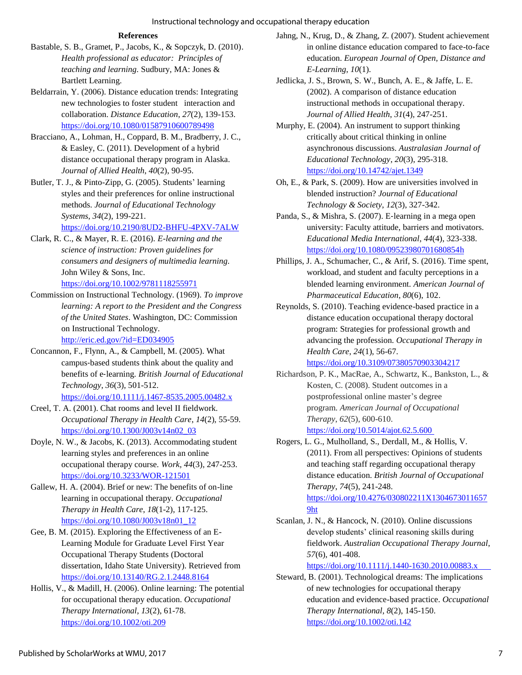#### **References**

- Bastable, S. B., Gramet, P., Jacobs, K., & Sopczyk, D. (2010). *Health professional as educator: Principles of teaching and learning.* Sudbury, MA: Jones & Bartlett Learning.
- Beldarrain, Y. (2006). Distance education trends: Integrating new technologies to foster student interaction and collaboration. *Distance Education*, *27*(2), 139-153. <https://doi.org/10.1080/01587910600789498>
- Bracciano, A., Lohman, H., Coppard, B. M., Bradberry, J. C., & Easley, C. (2011). Development of a hybrid distance occupational therapy program in Alaska. *Journal of Allied Health*, *40*(2), 90-95.
- Butler, T. J., & Pinto-Zipp, G. (2005). Students' learning styles and their preferences for online instructional methods. *Journal of Educational Technology Systems*, *34*(2), 199-221.

<https://doi.org/10.2190/8UD2-BHFU-4PXV-7ALW>

- Clark, R. C., & Mayer, R. E. (2016). *E-learning and the science of instruction: Proven guidelines for consumers and designers of multimedia learning.* John Wiley & Sons, Inc. <https://doi.org/10.1002/9781118255971>
- Commission on Instructional Technology. (1969). *To improve learning: A report to the President and the Congress of the United States*. Washington, DC: Commission on Instructional Technology. <http://eric.ed.gov/?id=ED034905>
- Concannon, F., Flynn, A., & Campbell, M. (2005). What campus‐based students think about the quality and benefits of e‐learning. *British Journal of Educational Technology*, *36*(3), 501-512. <https://doi.org/10.1111/j.1467-8535.2005.00482.x>
- Creel, T. A. (2001). Chat rooms and level II fieldwork. *Occupational Therapy in Health Care*, *14*(2), 55-59. [https://doi.org/10.1300/J003v14n02\\_03](https://doi.org/10.1300/J003v14n02_03)
- Doyle, N. W., & Jacobs, K. (2013). Accommodating student learning styles and preferences in an online occupational therapy course. *Work*, *44*(3), 247-253. <https://doi.org/10.3233/WOR-121501>
- Gallew, H. A. (2004). Brief or new: The benefits of on-line learning in occupational therapy. *Occupational Therapy in Health Care*, *18*(1-2), 117-125. [https://doi.org/10.1080/J003v18n01\\_12](https://doi.org/10.1080/J003v18n01_12)
- Gee, B. M. (2015). Exploring the Effectiveness of an E-Learning Module for Graduate Level First Year Occupational Therapy Students (Doctoral dissertation, Idaho State University). Retrieved from <https://doi.org/10.13140/RG.2.1.2448.8164>
- Hollis, V., & Madill, H. (2006). Online learning: The potential for occupational therapy education. *Occupational Therapy International*, *13*(2), 61-78. <https://doi.org/10.1002/oti.209>
- Jahng, N., Krug, D., & Zhang, Z. (2007). Student achievement in online distance education compared to face-to-face education. *European Journal of Open, Distance and E-Learning*, *10*(1).
- Jedlicka, J. S., Brown, S. W., Bunch, A. E., & Jaffe, L. E. (2002). A comparison of distance education instructional methods in occupational therapy. *Journal of Allied Health*, *31*(4), 247-251.
- Murphy, E. (2004). An instrument to support thinking critically about critical thinking in online asynchronous discussions. *Australasian Journal of Educational Technology*, *20*(3), 295-318. <https://doi.org/10.14742/ajet.1349>
- Oh, E., & Park, S. (2009). How are universities involved in blended instruction? *Journal of Educational Technology & Society*, *12*(3), 327-342.
- Panda, S., & Mishra, S. (2007). E‐learning in a mega open university: Faculty attitude, barriers and motivators. *Educational Media International*, *44*(4), 323-338. [https://doi.org/10.1080/09523980701680854h](https://doi.org/10.1080/09523980701680854)
- Phillips, J. A., Schumacher, C., & Arif, S. (2016). Time spent, workload, and student and faculty perceptions in a blended learning environment. *American Journal of Pharmaceutical Education*, *80*(6), 102.
- Reynolds, S. (2010). Teaching evidence-based practice in a distance education occupational therapy doctoral program: Strategies for professional growth and advancing the profession. *Occupational Therapy in Health Care*, *24*(1), 56-67.
- <https://doi.org/10.3109/07380570903304217> Richardson, P. K., MacRae, A., Schwartz, K., Bankston, L., &
- Kosten, C. (2008). Student outcomes in a postprofessional online master's degree program. *American Journal of Occupational Therapy*, *62*(5), 600-610. <https://doi.org/10.5014/ajot.62.5.600>
- Rogers, L. G., Mulholland, S., Derdall, M., & Hollis, V. (2011). From all perspectives: Opinions of students and teaching staff regarding occupational therapy distance education. *British Journal of Occupational Therapy*, *74*(5), 241-248. [https://doi.org/10.4276/030802211X1304673011657](https://doi.org/10.4276/030802211X13046730116579)

[9ht](https://doi.org/10.4276/030802211X13046730116579)

Scanlan, J. N., & Hancock, N. (2010). Online discussions develop students' clinical reasoning skills during fieldwork. *Australian Occupational Therapy Journal*, *57*(6), 401-408.

#### [https://doi.org/10.1111/j.1440-1630.2010.00883.x](https://doi.org/10.1111/j.1440-1630.2010.00883.x%09)

Steward, B. (2001). Technological dreams: The implications of new technologies for occupational therapy education and evidence-based practice. *Occupational Therapy International*, *8*(2), 145-150. <https://doi.org/10.1002/oti.142>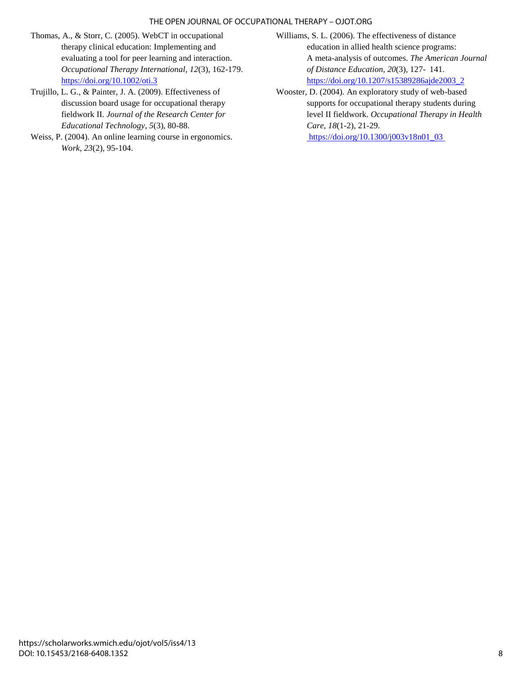#### THE OPEN JOURNAL OF OCCUPATIONAL THERAPY – OJOT.ORG

- Thomas, A., & Storr, C. (2005). WebCT in occupational therapy clinical education: Implementing and evaluating a tool for peer learning and interaction. *Occupational Therapy International*, *12*(3), 162-179. <https://doi.org/10.1002/oti.3>
- Trujillo, L. G., & Painter, J. A. (2009). Effectiveness of discussion board usage for occupational therapy fieldwork II. *Journal of the Research Center for Educational Technology*, *5*(3), 80-88.
- Weiss, P. (2004). An online learning course in ergonomics. *Work*, *23*(2), 95-104.
- Williams, S. L. (2006). The effectiveness of distance education in allied health science programs: A meta-analysis of outcomes. *The American Journal of Distance Education*, *20*(3), 127- 141. [https://doi.org/10.1207/s15389286ajde2003\\_2](https://doi.org/10.1207/s15389286ajde2003_2)
- Wooster, D. (2004). An exploratory study of web-based supports for occupational therapy students during level II fieldwork. *Occupational Therapy in Health Care*, *18*(1-2), 21-29. https://doi.org/10.1300/j003v18n01\_03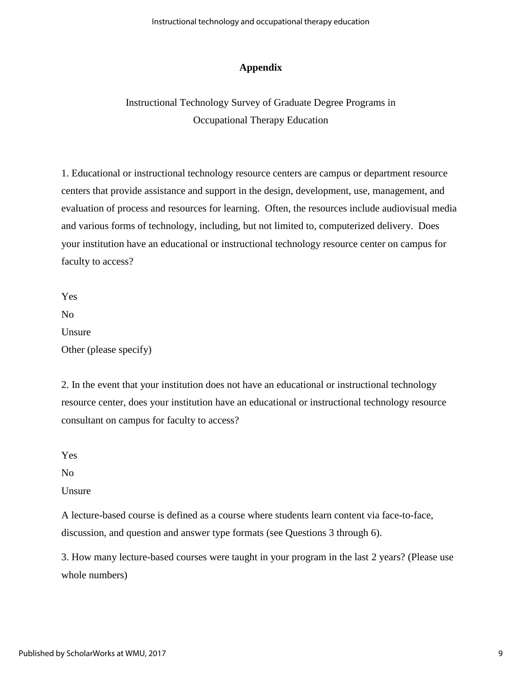### **Appendix**

# Instructional Technology Survey of Graduate Degree Programs in Occupational Therapy Education

1. Educational or instructional technology resource centers are campus or department resource centers that provide assistance and support in the design, development, use, management, and evaluation of process and resources for learning. Often, the resources include audiovisual media and various forms of technology, including, but not limited to, computerized delivery. Does your institution have an educational or instructional technology resource center on campus for faculty to access?

Yes No Unsure Other (please specify)

2. In the event that your institution does not have an educational or instructional technology resource center, does your institution have an educational or instructional technology resource consultant on campus for faculty to access?

Yes

No

Unsure

A lecture-based course is defined as a course where students learn content via face-to-face, discussion, and question and answer type formats (see Questions 3 through 6).

3. How many lecture-based courses were taught in your program in the last 2 years? (Please use whole numbers)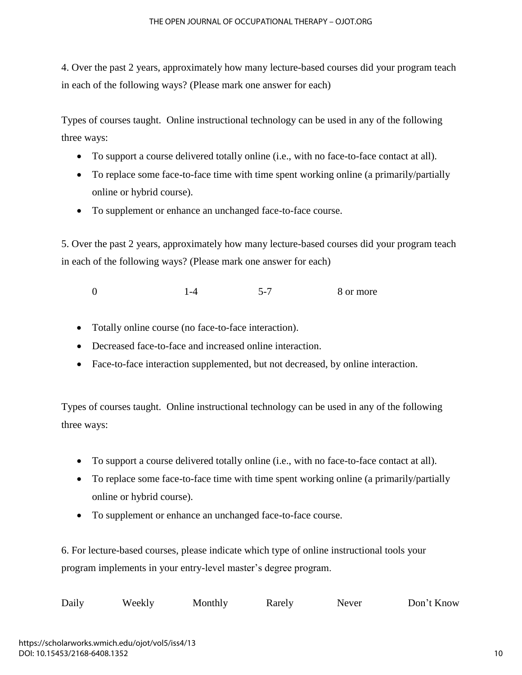4. Over the past 2 years, approximately how many lecture-based courses did your program teach in each of the following ways? (Please mark one answer for each)

Types of courses taught. Online instructional technology can be used in any of the following three ways:

- To support a course delivered totally online (i.e., with no face-to-face contact at all).
- To replace some face-to-face time with time spent working online (a primarily/partially online or hybrid course).
- To supplement or enhance an unchanged face-to-face course.

5. Over the past 2 years, approximately how many lecture-based courses did your program teach in each of the following ways? (Please mark one answer for each)

0 1-4 5-7 8 or more

- Totally online course (no face-to-face interaction).
- Decreased face-to-face and increased online interaction.
- Face-to-face interaction supplemented, but not decreased, by online interaction.

Types of courses taught. Online instructional technology can be used in any of the following three ways:

- To support a course delivered totally online (i.e., with no face-to-face contact at all).
- To replace some face-to-face time with time spent working online (a primarily/partially online or hybrid course).
- To supplement or enhance an unchanged face-to-face course.

6. For lecture-based courses, please indicate which type of online instructional tools your program implements in your entry-level master's degree program.

| Daily | Weekly | Monthly | Rarely | Never | Don't Know |
|-------|--------|---------|--------|-------|------------|
|-------|--------|---------|--------|-------|------------|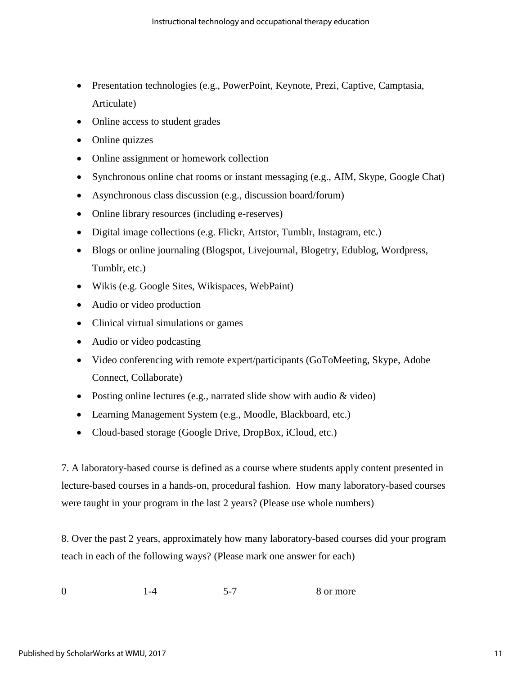- Presentation technologies (e.g., PowerPoint, Keynote, Prezi, Captive, Camptasia, Articulate)
- Online access to student grades
- Online quizzes
- Online assignment or homework collection
- Synchronous online chat rooms or instant messaging (e.g., AIM, Skype, Google Chat)
- Asynchronous class discussion (e.g., discussion board/forum)
- Online library resources (including e-reserves)
- Digital image collections (e.g. Flickr, Artstor, Tumblr, Instagram, etc.)
- Blogs or online journaling (Blogspot, Livejournal, Blogetry, Edublog, Wordpress, Tumblr, etc.)
- Wikis (e.g. Google Sites, Wikispaces, WebPaint)
- Audio or video production
- Clinical virtual simulations or games
- Audio or video podcasting
- Video conferencing with remote expert/participants (GoToMeeting, Skype, Adobe Connect, Collaborate)
- Posting online lectures (e.g., narrated slide show with audio & video)
- Learning Management System (e.g., Moodle, Blackboard, etc.)
- Cloud-based storage (Google Drive, DropBox, iCloud, etc.)

7. A laboratory-based course is defined as a course where students apply content presented in lecture-based courses in a hands-on, procedural fashion. How many laboratory-based courses were taught in your program in the last 2 years? (Please use whole numbers)

8. Over the past 2 years, approximately how many laboratory-based courses did your program teach in each of the following ways? (Please mark one answer for each)

0 1-4 5-7 8 or more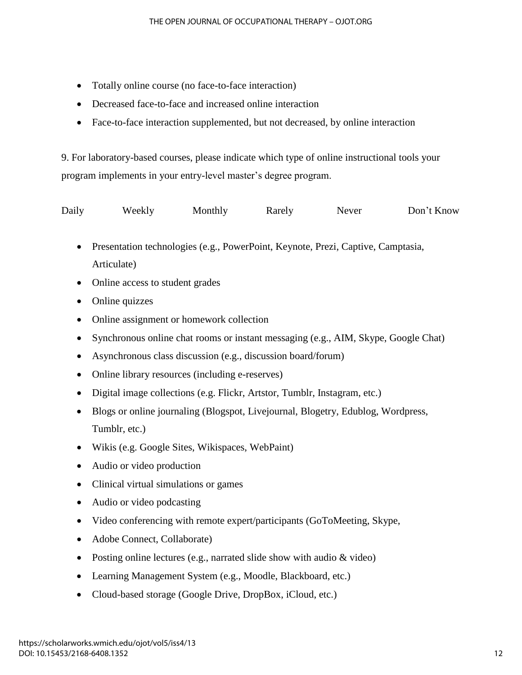- Totally online course (no face-to-face interaction)
- Decreased face-to-face and increased online interaction
- Face-to-face interaction supplemented, but not decreased, by online interaction

9. For laboratory-based courses, please indicate which type of online instructional tools your program implements in your entry-level master's degree program.

| Daily | Weekly | Monthly | Rarely | Never | Don't Know |
|-------|--------|---------|--------|-------|------------|
|-------|--------|---------|--------|-------|------------|

- Presentation technologies (e.g., PowerPoint, Keynote, Prezi, Captive, Camptasia, Articulate)
- Online access to student grades
- Online quizzes
- Online assignment or homework collection
- Synchronous online chat rooms or instant messaging (e.g., AIM, Skype, Google Chat)
- Asynchronous class discussion (e.g., discussion board/forum)
- Online library resources (including e-reserves)
- Digital image collections (e.g. Flickr, Artstor, Tumblr, Instagram, etc.)
- Blogs or online journaling (Blogspot, Livejournal, Blogetry, Edublog, Wordpress, Tumblr, etc.)
- Wikis (e.g. Google Sites, Wikispaces, WebPaint)
- Audio or video production
- Clinical virtual simulations or games
- Audio or video podcasting
- Video conferencing with remote expert/participants (GoToMeeting, Skype,
- Adobe Connect, Collaborate)
- Posting online lectures (e.g., narrated slide show with audio & video)
- Learning Management System (e.g., Moodle, Blackboard, etc.)
- Cloud-based storage (Google Drive, DropBox, iCloud, etc.)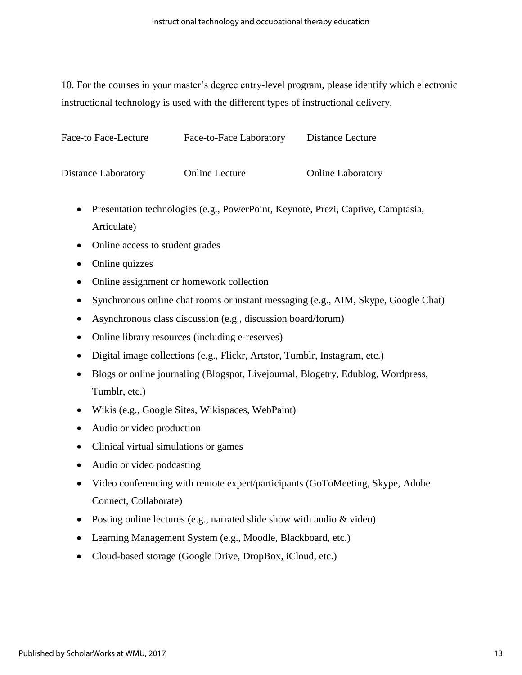10. For the courses in your master's degree entry-level program, please identify which electronic instructional technology is used with the different types of instructional delivery.

| Face-to Face-Lecture | Face-to-Face Laboratory | Distance Lecture         |  |
|----------------------|-------------------------|--------------------------|--|
|                      |                         |                          |  |
| Distance Laboratory  | <b>Online Lecture</b>   | <b>Online Laboratory</b> |  |

- Presentation technologies (e.g., PowerPoint, Keynote, Prezi, Captive, Camptasia, Articulate)
- Online access to student grades
- Online quizzes
- Online assignment or homework collection
- Synchronous online chat rooms or instant messaging (e.g., AIM, Skype, Google Chat)
- Asynchronous class discussion (e.g., discussion board/forum)
- Online library resources (including e-reserves)
- Digital image collections (e.g., Flickr, Artstor, Tumblr, Instagram, etc.)
- Blogs or online journaling (Blogspot, Livejournal, Blogetry, Edublog, Wordpress, Tumblr, etc.)
- Wikis (e.g., Google Sites, Wikispaces, WebPaint)
- Audio or video production
- Clinical virtual simulations or games
- Audio or video podcasting
- Video conferencing with remote expert/participants (GoToMeeting, Skype, Adobe Connect, Collaborate)
- Posting online lectures (e.g., narrated slide show with audio & video)
- Learning Management System (e.g., Moodle, Blackboard, etc.)
- Cloud-based storage (Google Drive, DropBox, iCloud, etc.)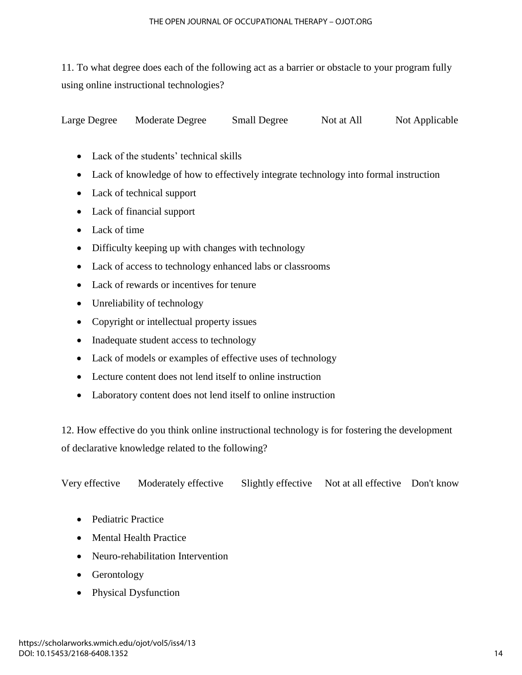11. To what degree does each of the following act as a barrier or obstacle to your program fully using online instructional technologies?

Large Degree Moderate Degree Small Degree Not at All Not Applicable

- Lack of the students' technical skills
- Lack of knowledge of how to effectively integrate technology into formal instruction
- Lack of technical support
- Lack of financial support
- Lack of time
- Difficulty keeping up with changes with technology
- Lack of access to technology enhanced labs or classrooms
- Lack of rewards or incentives for tenure
- Unreliability of technology
- Copyright or intellectual property issues
- Inadequate student access to technology
- Lack of models or examples of effective uses of technology
- Lecture content does not lend itself to online instruction
- Laboratory content does not lend itself to online instruction

12. How effective do you think online instructional technology is for fostering the development of declarative knowledge related to the following?

Very effective Moderately effective Slightly effective Not at all effective Don't know

- Pediatric Practice
- Mental Health Practice
- Neuro-rehabilitation Intervention
- Gerontology
- Physical Dysfunction